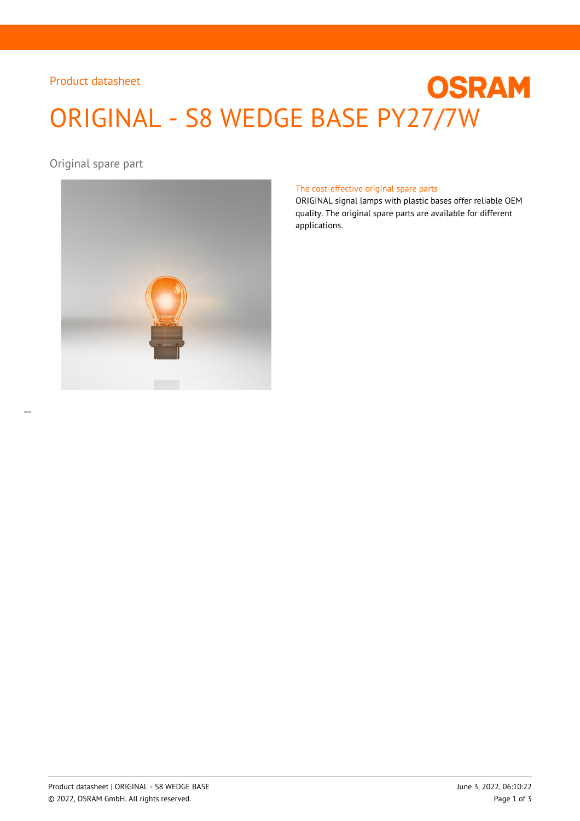## Product datasheet

# **OSRAM** ORIGINAL - S8 WEDGE BASE PY27/7W

Original spare part



#### The cost-effective original spare parts

ORIGINAL signal lamps with plastic bases offer reliable OEM quality. The original spare parts are available for different applications.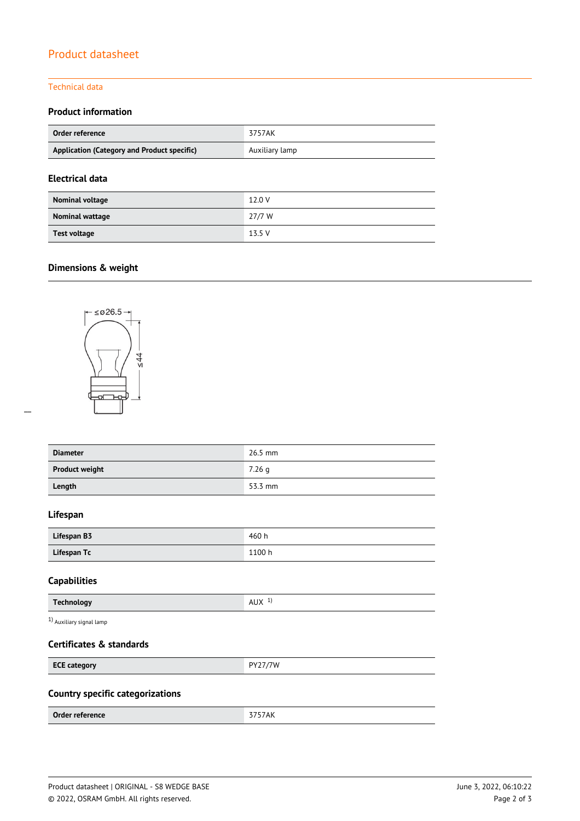# Product datasheet

#### Technical data

## **Product information**

| Order reference                             | 3757AK         |
|---------------------------------------------|----------------|
| Application (Category and Product specific) | Auxiliary lamp |

## **Electrical data**

| Nominal voltage | 12.0 V |
|-----------------|--------|
| Nominal wattage | 27/7 W |
| Test voltage    | 13.5 V |

## **Dimensions & weight**



| <b>Diameter</b>       | $26.5$ mm |
|-----------------------|-----------|
| <b>Product weight</b> | 7.26q     |
| Length                | 53.3 mm   |

#### **Lifespan**

| Lifespan B3 | 460h   |
|-------------|--------|
| Lifespan Tc | 1100 h |

#### **Capabilities**

| .<br>л.<br>∧שר<br>. |
|---------------------|
|                     |
|                     |

1) Auxiliary signal lamp

#### **Certificates & standards**

| <b>ECE category</b> | 7/7W<br>DV <sub>2</sub><br>$\cdot$ $\sim$ |
|---------------------|-------------------------------------------|
|                     |                                           |

## **Country specific categorizations**

| Order reference | ____<br><b>AIN</b> |
|-----------------|--------------------|
|                 |                    |